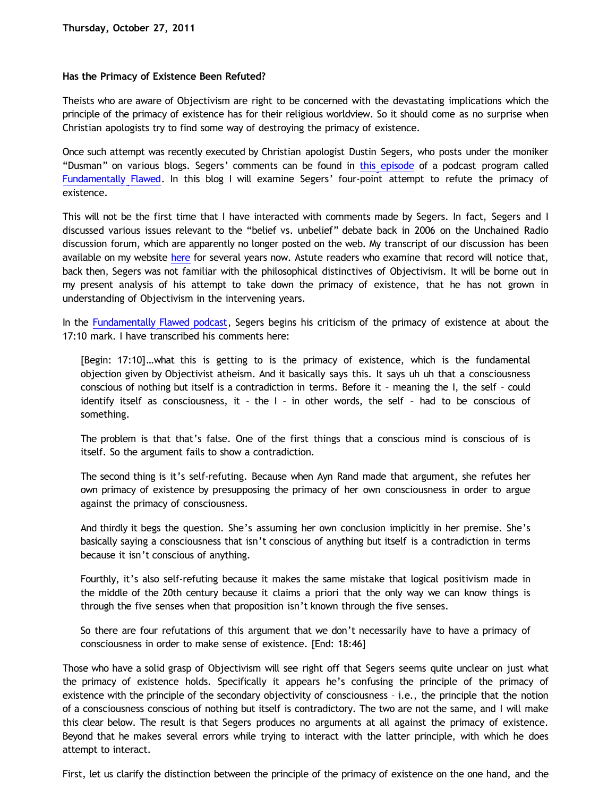## **Has the Primacy of Existence Been Refuted?**

Theists who are aware of Objectivism are right to be concerned with the devastating implications which the principle of the primacy of existence has for their religious worldview. So it should come as no surprise when Christian apologists try to find some way of destroying the primacy of existence.

Once such attempt was recently executed by Christian apologist Dustin Segers, who posts under the moniker "Dusman" on various blogs. Segers' comments can be found in [this episode](http://fundamentally-flawed.com/pods/?p=episode&name=2011-10-14_dustinandsye.mp3) of a podcast program called [Fundamentally Flawed](http://fundamentally-flawed.com/pods/?p=home). In this blog I will examine Segers' four-point attempt to refute the primacy of existence.

This will not be the first time that I have interacted with comments made by Segers. In fact, Segers and I discussed various issues relevant to the "belief vs. unbelief" debate back in 2006 on the Unchained Radio discussion forum, which are apparently no longer posted on the web. My transcript of our discussion has been available on my website [here](http://katholon.com/ContraDusman0106.htm) for several years now. Astute readers who examine that record will notice that, back then, Segers was not familiar with the philosophical distinctives of Objectivism. It will be borne out in my present analysis of his attempt to take down the primacy of existence, that he has not grown in understanding of Objectivism in the intervening years.

In the [Fundamentally Flawed podcast](http://fundamentally-flawed.com/pods/?p=episode&name=2011-10-14_dustinandsye.mp3), Segers begins his criticism of the primacy of existence at about the 17:10 mark. I have transcribed his comments here:

[Begin: 17:10]…what this is getting to is the primacy of existence, which is the fundamental objection given by Objectivist atheism. And it basically says this. It says uh uh that a consciousness conscious of nothing but itself is a contradiction in terms. Before it – meaning the I, the self – could identify itself as consciousness, it – the I – in other words, the self – had to be conscious of something.

The problem is that that's false. One of the first things that a conscious mind is conscious of is itself. So the argument fails to show a contradiction.

The second thing is it's self-refuting. Because when Ayn Rand made that argument, she refutes her own primacy of existence by presupposing the primacy of her own consciousness in order to argue against the primacy of consciousness.

And thirdly it begs the question. She's assuming her own conclusion implicitly in her premise. She's basically saying a consciousness that isn't conscious of anything but itself is a contradiction in terms because it isn't conscious of anything.

Fourthly, it's also self-refuting because it makes the same mistake that logical positivism made in the middle of the 20th century because it claims a priori that the only way we can know things is through the five senses when that proposition isn't known through the five senses.

So there are four refutations of this argument that we don't necessarily have to have a primacy of consciousness in order to make sense of existence. [End: 18:46]

Those who have a solid grasp of Objectivism will see right off that Segers seems quite unclear on just what the primacy of existence holds. Specifically it appears he's confusing the principle of the primacy of existence with the principle of the secondary objectivity of consciousness – i.e., the principle that the notion of a consciousness conscious of nothing but itself is contradictory. The two are not the same, and I will make this clear below. The result is that Segers produces no arguments at all against the primacy of existence. Beyond that he makes several errors while trying to interact with the latter principle, with which he does attempt to interact.

First, let us clarify the distinction between the principle of the primacy of existence on the one hand, and the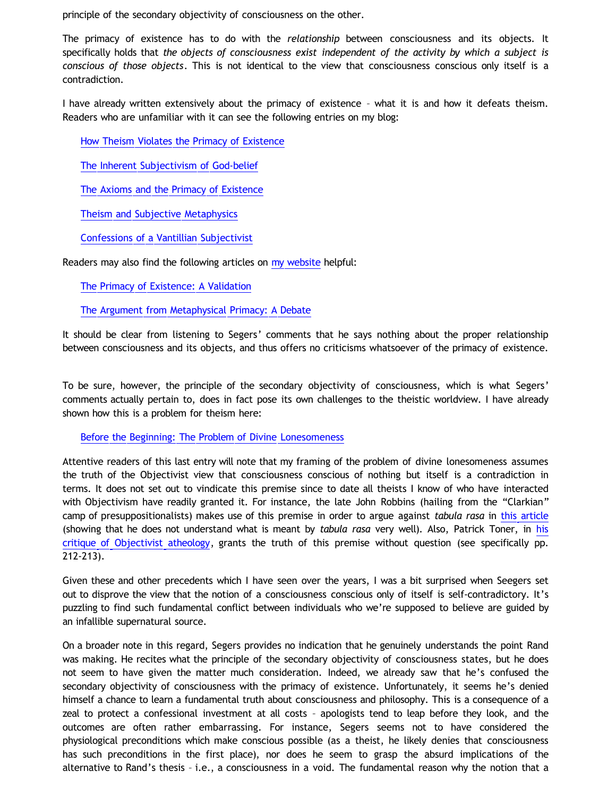principle of the secondary objectivity of consciousness on the other.

The primacy of existence has to do with the *relationship* between consciousness and its objects. It specifically holds that *the objects of consciousness exist independent of the activity by which a subject is conscious of those objects*. This is not identical to the view that consciousness conscious only itself is a contradiction.

I have already written extensively about the primacy of existence – what it is and how it defeats theism. Readers who are unfamiliar with it can see the following entries on my blog:

[How Theism Violates the Primacy of Existence](http://bahnsenburner.blogspot.com/2010/02/how-theism-violates-primacy-of.html)

[The Inherent Subjectivism of God-belief](http://bahnsenburner.blogspot.com/2008/12/inherent-subjectivism-of-god-belief.html)

[The Axioms and the Primacy of Existence](http://bahnsenburner.blogspot.com/2006/12/axioms-and-primacy-of-existence.html)

[Theism and Subjective Metaphysics](http://bahnsenburner.blogspot.com/2006/12/theism-and-subjective-metaphysics.html)

[Confessions of a Vantillian Subjectivist](http://bahnsenburner.blogspot.com/2006/03/confessions-of-vantillian-subjectivist.html)

Readers may also find the following articles on [my website](http://katholon.com/writings.htm) helpful:

[The Primacy of Existence: A Validation](http://katholon.com/poe.htm)

[The Argument from Metaphysical Primacy: A Debate](http://katholon.com/DBvPM1005.htm)

It should be clear from listening to Segers' comments that he says nothing about the proper relationship between consciousness and its objects, and thus offers no criticisms whatsoever of the primacy of existence.

To be sure, however, the principle of the secondary objectivity of consciousness, which is what Segers' comments actually pertain to, does in fact pose its own challenges to the theistic worldview. I have already shown how this is a problem for theism here:

[Before the Beginning: The Problem of Divine Lonesomeness](http://bahnsenburner.blogspot.com/2008/07/before-beginning-problem-of-divine.html)

Attentive readers of this last entry will note that my framing of the problem of divine lonesomeness assumes the truth of the Objectivist view that consciousness conscious of nothing but itself is a contradiction in terms. It does not set out to vindicate this premise since to date all theists I know of who have interacted with Objectivism have readily granted it. For instance, the late John Robbins (hailing from the "Clarkian" camp of presuppositionalists) makes use of this premise in order to argue against *tabula rasa* in [this article](http://www.trinityfoundation.org/journal.php?id=192) (showing that he does not understand what is meant by *tabula rasa* very well). Also, Patrick Toner, in [his](http://www.aynrandstudies.com/jars/archives/jars8-2/jars8_2ptoner.pdf) [critique of Objectivist atheology](http://www.aynrandstudies.com/jars/archives/jars8-2/jars8_2ptoner.pdf), grants the truth of this premise without question (see specifically pp. 212-213).

Given these and other precedents which I have seen over the years, I was a bit surprised when Seegers set out to disprove the view that the notion of a consciousness conscious only of itself is self-contradictory. It's puzzling to find such fundamental conflict between individuals who we're supposed to believe are guided by an infallible supernatural source.

On a broader note in this regard, Segers provides no indication that he genuinely understands the point Rand was making. He recites what the principle of the secondary objectivity of consciousness states, but he does not seem to have given the matter much consideration. Indeed, we already saw that he's confused the secondary objectivity of consciousness with the primacy of existence. Unfortunately, it seems he's denied himself a chance to learn a fundamental truth about consciousness and philosophy. This is a consequence of a zeal to protect a confessional investment at all costs – apologists tend to leap before they look, and the outcomes are often rather embarrassing. For instance, Segers seems not to have considered the physiological preconditions which make conscious possible (as a theist, he likely denies that consciousness has such preconditions in the first place), nor does he seem to grasp the absurd implications of the alternative to Rand's thesis – i.e., a consciousness in a void. The fundamental reason why the notion that a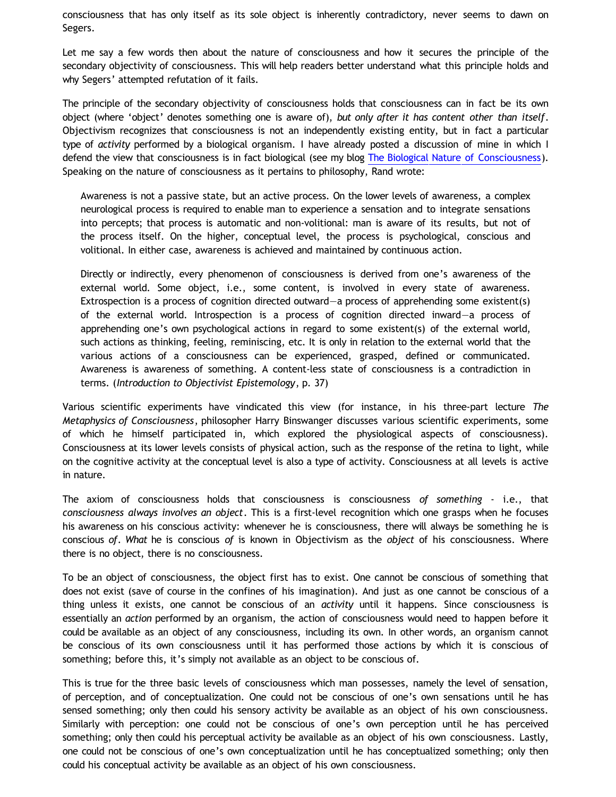consciousness that has only itself as its sole object is inherently contradictory, never seems to dawn on Segers.

Let me say a few words then about the nature of consciousness and how it secures the principle of the secondary objectivity of consciousness. This will help readers better understand what this principle holds and why Segers' attempted refutation of it fails.

The principle of the secondary objectivity of consciousness holds that consciousness can in fact be its own object (where 'object' denotes something one is aware of), *but only after it has content other than itself*. Objectivism recognizes that consciousness is not an independently existing entity, but in fact a particular type of *activity* performed by a biological organism. I have already posted a discussion of mine in which I defend the view that consciousness is in fact biological (see my blog [The Biological Nature of Consciousness](http://bahnsenburner.blogspot.com/2010/06/biological-nature-of-consciousness.html)). Speaking on the nature of consciousness as it pertains to philosophy, Rand wrote:

Awareness is not a passive state, but an active process. On the lower levels of awareness, a complex neurological process is required to enable man to experience a sensation and to integrate sensations into percepts; that process is automatic and non-volitional: man is aware of its results, but not of the process itself. On the higher, conceptual level, the process is psychological, conscious and volitional. In either case, awareness is achieved and maintained by continuous action.

Directly or indirectly, every phenomenon of consciousness is derived from one's awareness of the external world. Some object, i.e., some content, is involved in every state of awareness. Extrospection is a process of cognition directed outward—a process of apprehending some existent(s) of the external world. Introspection is a process of cognition directed inward—a process of apprehending one's own psychological actions in regard to some existent(s) of the external world, such actions as thinking, feeling, reminiscing, etc. It is only in relation to the external world that the various actions of a consciousness can be experienced, grasped, defined or communicated. Awareness is awareness of something. A content-less state of consciousness is a contradiction in terms. (*Introduction to Objectivist Epistemology*, p. 37)

Various scientific experiments have vindicated this view (for instance, in his three-part lecture *The Metaphysics of Consciousness*, philosopher Harry Binswanger discusses various scientific experiments, some of which he himself participated in, which explored the physiological aspects of consciousness). Consciousness at its lower levels consists of physical action, such as the response of the retina to light, while on the cognitive activity at the conceptual level is also a type of activity. Consciousness at all levels is active in nature.

The axiom of consciousness holds that consciousness is consciousness *of something* - i.e., that *consciousness always involves an object*. This is a first-level recognition which one grasps when he focuses his awareness on his conscious activity: whenever he is consciousness, there will always be something he is conscious *of*. *What* he is conscious *of* is known in Objectivism as the *object* of his consciousness. Where there is no object, there is no consciousness.

To be an object of consciousness, the object first has to exist. One cannot be conscious of something that does not exist (save of course in the confines of his imagination). And just as one cannot be conscious of a thing unless it exists, one cannot be conscious of an *activity* until it happens. Since consciousness is essentially an *action* performed by an organism, the action of consciousness would need to happen before it could be available as an object of any consciousness, including its own. In other words, an organism cannot be conscious of its own consciousness until it has performed those actions by which it is conscious of something; before this, it's simply not available as an object to be conscious of.

This is true for the three basic levels of consciousness which man possesses, namely the level of sensation, of perception, and of conceptualization. One could not be conscious of one's own sensations until he has sensed something; only then could his sensory activity be available as an object of his own consciousness. Similarly with perception: one could not be conscious of one's own perception until he has perceived something; only then could his perceptual activity be available as an object of his own consciousness. Lastly, one could not be conscious of one's own conceptualization until he has conceptualized something; only then could his conceptual activity be available as an object of his own consciousness.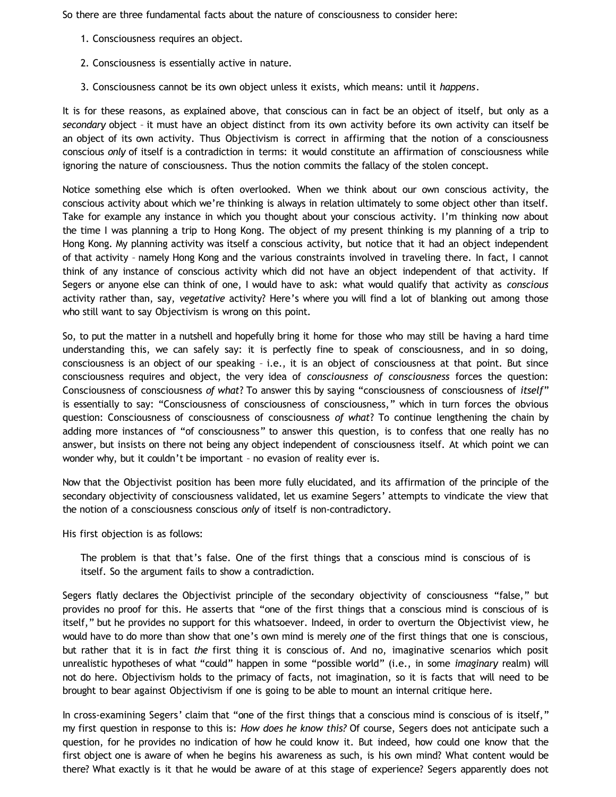So there are three fundamental facts about the nature of consciousness to consider here:

- 1. Consciousness requires an object.
- 2. Consciousness is essentially active in nature.
- 3. Consciousness cannot be its own object unless it exists, which means: until it *happens*.

It is for these reasons, as explained above, that conscious can in fact be an object of itself, but only as a *secondary* object – it must have an object distinct from its own activity before its own activity can itself be an object of its own activity. Thus Objectivism is correct in affirming that the notion of a consciousness conscious *only* of itself is a contradiction in terms: it would constitute an affirmation of consciousness while ignoring the nature of consciousness. Thus the notion commits the fallacy of the stolen concept.

Notice something else which is often overlooked. When we think about our own conscious activity, the conscious activity about which we're thinking is always in relation ultimately to some object other than itself. Take for example any instance in which you thought about your conscious activity. I'm thinking now about the time I was planning a trip to Hong Kong. The object of my present thinking is my planning of a trip to Hong Kong. My planning activity was itself a conscious activity, but notice that it had an object independent of that activity – namely Hong Kong and the various constraints involved in traveling there. In fact, I cannot think of any instance of conscious activity which did not have an object independent of that activity. If Segers or anyone else can think of one, I would have to ask: what would qualify that activity as *conscious* activity rather than, say, *vegetative* activity? Here's where you will find a lot of blanking out among those who still want to say Objectivism is wrong on this point.

So, to put the matter in a nutshell and hopefully bring it home for those who may still be having a hard time understanding this, we can safely say: it is perfectly fine to speak of consciousness, and in so doing, consciousness is an object of our speaking – i.e., it is an object of consciousness at that point. But since consciousness requires and object, the very idea of *consciousness of consciousness* forces the question: Consciousness of consciousness *of what*? To answer this by saying "consciousness of consciousness of *itself*" is essentially to say: "Consciousness of consciousness of consciousness," which in turn forces the obvious question: Consciousness of consciousness of consciousness *of what*? To continue lengthening the chain by adding more instances of "of consciousness" to answer this question, is to confess that one really has no answer, but insists on there not being any object independent of consciousness itself. At which point we can wonder why, but it couldn't be important – no evasion of reality ever is.

Now that the Objectivist position has been more fully elucidated, and its affirmation of the principle of the secondary objectivity of consciousness validated, let us examine Segers' attempts to vindicate the view that the notion of a consciousness conscious *only* of itself is non-contradictory.

His first objection is as follows:

The problem is that that's false. One of the first things that a conscious mind is conscious of is itself. So the argument fails to show a contradiction.

Segers flatly declares the Objectivist principle of the secondary objectivity of consciousness "false," but provides no proof for this. He asserts that "one of the first things that a conscious mind is conscious of is itself," but he provides no support for this whatsoever. Indeed, in order to overturn the Objectivist view, he would have to do more than show that one's own mind is merely *one* of the first things that one is conscious, but rather that it is in fact *the* first thing it is conscious of. And no, imaginative scenarios which posit unrealistic hypotheses of what "could" happen in some "possible world" (i.e., in some *imaginary* realm) will not do here. Objectivism holds to the primacy of facts, not imagination, so it is facts that will need to be brought to bear against Objectivism if one is going to be able to mount an internal critique here.

In cross-examining Segers' claim that "one of the first things that a conscious mind is conscious of is itself," my first question in response to this is: *How does he know this?* Of course, Segers does not anticipate such a question, for he provides no indication of how he could know it. But indeed, how could one know that the first object one is aware of when he begins his awareness as such, is his own mind? What content would be there? What exactly is it that he would be aware of at this stage of experience? Segers apparently does not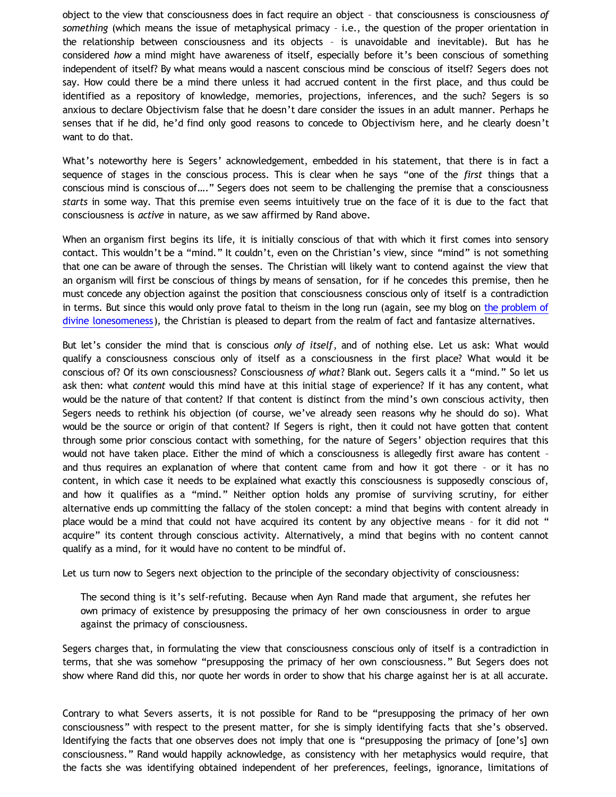object to the view that consciousness does in fact require an object – that consciousness is consciousness *of something* (which means the issue of metaphysical primacy – i.e., the question of the proper orientation in the relationship between consciousness and its objects – is unavoidable and inevitable). But has he considered *how* a mind might have awareness of itself, especially before it's been conscious of something independent of itself? By what means would a nascent conscious mind be conscious of itself? Segers does not say. How could there be a mind there unless it had accrued content in the first place, and thus could be identified as a repository of knowledge, memories, projections, inferences, and the such? Segers is so anxious to declare Objectivism false that he doesn't dare consider the issues in an adult manner. Perhaps he senses that if he did, he'd find only good reasons to concede to Objectivism here, and he clearly doesn't want to do that.

What's noteworthy here is Segers' acknowledgement, embedded in his statement, that there is in fact a sequence of stages in the conscious process. This is clear when he says "one of the *first* things that a conscious mind is conscious of…." Segers does not seem to be challenging the premise that a consciousness *starts* in some way. That this premise even seems intuitively true on the face of it is due to the fact that consciousness is *active* in nature, as we saw affirmed by Rand above.

When an organism first begins its life, it is initially conscious of that with which it first comes into sensory contact. This wouldn't be a "mind." It couldn't, even on the Christian's view, since "mind" is not something that one can be aware of through the senses. The Christian will likely want to contend against the view that an organism will first be conscious of things by means of sensation, for if he concedes this premise, then he must concede any objection against the position that consciousness conscious only of itself is a contradiction in terms. But since this would only prove fatal to theism in the long run (again, see my blog on [the problem of](http://bahnsenburner.blogspot.com/2008/07/before-beginning-problem-of-divine.html) [divine lonesomeness](http://bahnsenburner.blogspot.com/2008/07/before-beginning-problem-of-divine.html)), the Christian is pleased to depart from the realm of fact and fantasize alternatives.

But let's consider the mind that is conscious *only of itself*, and of nothing else. Let us ask: What would qualify a consciousness conscious only of itself as a consciousness in the first place? What would it be conscious of? Of its own consciousness? Consciousness *of what*? Blank out. Segers calls it a "mind." So let us ask then: what *content* would this mind have at this initial stage of experience? If it has any content, what would be the nature of that content? If that content is distinct from the mind's own conscious activity, then Segers needs to rethink his objection (of course, we've already seen reasons why he should do so). What would be the source or origin of that content? If Segers is right, then it could not have gotten that content through some prior conscious contact with something, for the nature of Segers' objection requires that this would not have taken place. Either the mind of which a consciousness is allegedly first aware has content – and thus requires an explanation of where that content came from and how it got there – or it has no content, in which case it needs to be explained what exactly this consciousness is supposedly conscious of, and how it qualifies as a "mind." Neither option holds any promise of surviving scrutiny, for either alternative ends up committing the fallacy of the stolen concept: a mind that begins with content already in place would be a mind that could not have acquired its content by any objective means – for it did not " acquire" its content through conscious activity. Alternatively, a mind that begins with no content cannot qualify as a mind, for it would have no content to be mindful of.

Let us turn now to Segers next objection to the principle of the secondary objectivity of consciousness:

The second thing is it's self-refuting. Because when Ayn Rand made that argument, she refutes her own primacy of existence by presupposing the primacy of her own consciousness in order to argue against the primacy of consciousness.

Segers charges that, in formulating the view that consciousness conscious only of itself is a contradiction in terms, that she was somehow "presupposing the primacy of her own consciousness." But Segers does not show where Rand did this, nor quote her words in order to show that his charge against her is at all accurate.

Contrary to what Severs asserts, it is not possible for Rand to be "presupposing the primacy of her own consciousness" with respect to the present matter, for she is simply identifying facts that she's observed. Identifying the facts that one observes does not imply that one is "presupposing the primacy of [one's] own consciousness." Rand would happily acknowledge, as consistency with her metaphysics would require, that the facts she was identifying obtained independent of her preferences, feelings, ignorance, limitations of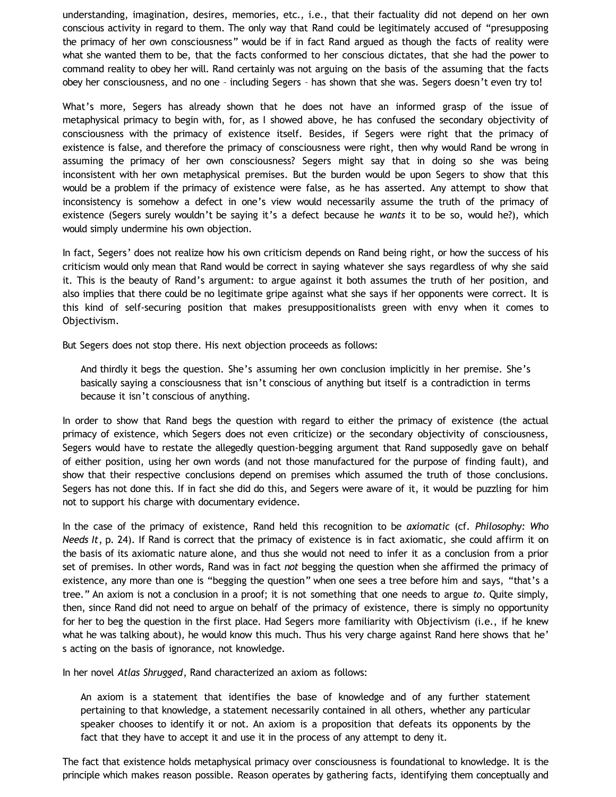understanding, imagination, desires, memories, etc., i.e., that their factuality did not depend on her own conscious activity in regard to them. The only way that Rand could be legitimately accused of "presupposing the primacy of her own consciousness" would be if in fact Rand argued as though the facts of reality were what she wanted them to be, that the facts conformed to her conscious dictates, that she had the power to command reality to obey her will. Rand certainly was not arguing on the basis of the assuming that the facts obey her consciousness, and no one – including Segers – has shown that she was. Segers doesn't even try to!

What's more, Segers has already shown that he does not have an informed grasp of the issue of metaphysical primacy to begin with, for, as I showed above, he has confused the secondary objectivity of consciousness with the primacy of existence itself. Besides, if Segers were right that the primacy of existence is false, and therefore the primacy of consciousness were right, then why would Rand be wrong in assuming the primacy of her own consciousness? Segers might say that in doing so she was being inconsistent with her own metaphysical premises. But the burden would be upon Segers to show that this would be a problem if the primacy of existence were false, as he has asserted. Any attempt to show that inconsistency is somehow a defect in one's view would necessarily assume the truth of the primacy of existence (Segers surely wouldn't be saying it's a defect because he *wants* it to be so, would he?), which would simply undermine his own objection.

In fact, Segers' does not realize how his own criticism depends on Rand being right, or how the success of his criticism would only mean that Rand would be correct in saying whatever she says regardless of why she said it. This is the beauty of Rand's argument: to argue against it both assumes the truth of her position, and also implies that there could be no legitimate gripe against what she says if her opponents were correct. It is this kind of self-securing position that makes presuppositionalists green with envy when it comes to Objectivism.

But Segers does not stop there. His next objection proceeds as follows:

And thirdly it begs the question. She's assuming her own conclusion implicitly in her premise. She's basically saying a consciousness that isn't conscious of anything but itself is a contradiction in terms because it isn't conscious of anything.

In order to show that Rand begs the question with regard to either the primacy of existence (the actual primacy of existence, which Segers does not even criticize) or the secondary objectivity of consciousness, Segers would have to restate the allegedly question-begging argument that Rand supposedly gave on behalf of either position, using her own words (and not those manufactured for the purpose of finding fault), and show that their respective conclusions depend on premises which assumed the truth of those conclusions. Segers has not done this. If in fact she did do this, and Segers were aware of it, it would be puzzling for him not to support his charge with documentary evidence.

In the case of the primacy of existence, Rand held this recognition to be *axiomatic* (cf. *Philosophy: Who Needs It*, p. 24). If Rand is correct that the primacy of existence is in fact axiomatic, she could affirm it on the basis of its axiomatic nature alone, and thus she would not need to infer it as a conclusion from a prior set of premises. In other words, Rand was in fact *not* begging the question when she affirmed the primacy of existence, any more than one is "begging the question" when one sees a tree before him and says, "that's a tree." An axiom is not a conclusion in a proof; it is not something that one needs to argue *to*. Quite simply, then, since Rand did not need to argue on behalf of the primacy of existence, there is simply no opportunity for her to beg the question in the first place. Had Segers more familiarity with Objectivism (i.e., if he knew what he was talking about), he would know this much. Thus his very charge against Rand here shows that he' s acting on the basis of ignorance, not knowledge.

In her novel *Atlas Shrugged*, Rand characterized an axiom as follows:

An axiom is a statement that identifies the base of knowledge and of any further statement pertaining to that knowledge, a statement necessarily contained in all others, whether any particular speaker chooses to identify it or not. An axiom is a proposition that defeats its opponents by the fact that they have to accept it and use it in the process of any attempt to deny it.

The fact that existence holds metaphysical primacy over consciousness is foundational to knowledge. It is the principle which makes reason possible. Reason operates by gathering facts, identifying them conceptually and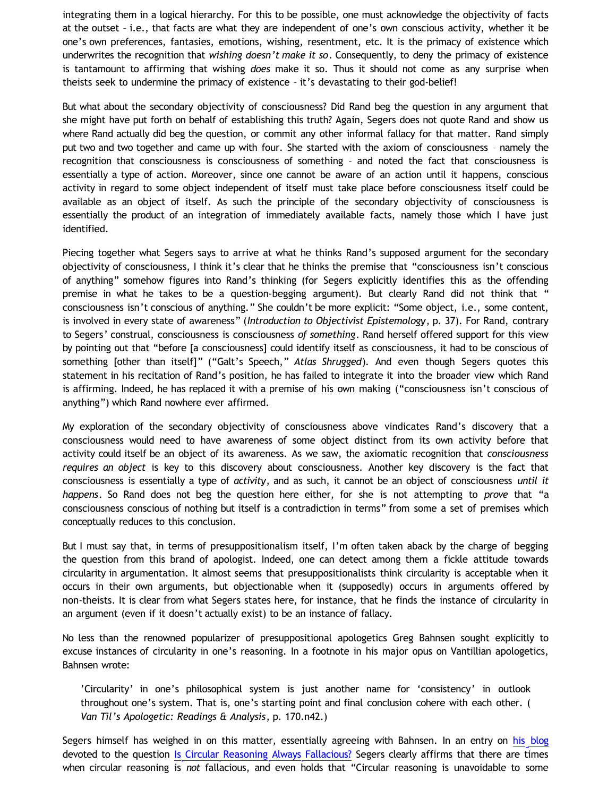integrating them in a logical hierarchy. For this to be possible, one must acknowledge the objectivity of facts at the outset – i.e., that facts are what they are independent of one's own conscious activity, whether it be one's own preferences, fantasies, emotions, wishing, resentment, etc. It is the primacy of existence which underwrites the recognition that *wishing doesn't make it so*. Consequently, to deny the primacy of existence is tantamount to affirming that wishing *does* make it so. Thus it should not come as any surprise when theists seek to undermine the primacy of existence – it's devastating to their god-belief!

But what about the secondary objectivity of consciousness? Did Rand beg the question in any argument that she might have put forth on behalf of establishing this truth? Again, Segers does not quote Rand and show us where Rand actually did beg the question, or commit any other informal fallacy for that matter. Rand simply put two and two together and came up with four. She started with the axiom of consciousness – namely the recognition that consciousness is consciousness of something – and noted the fact that consciousness is essentially a type of action. Moreover, since one cannot be aware of an action until it happens, conscious activity in regard to some object independent of itself must take place before consciousness itself could be available as an object of itself. As such the principle of the secondary objectivity of consciousness is essentially the product of an integration of immediately available facts, namely those which I have just identified.

Piecing together what Segers says to arrive at what he thinks Rand's supposed argument for the secondary objectivity of consciousness, I think it's clear that he thinks the premise that "consciousness isn't conscious of anything" somehow figures into Rand's thinking (for Segers explicitly identifies this as the offending premise in what he takes to be a question-begging argument). But clearly Rand did not think that " consciousness isn't conscious of anything." She couldn't be more explicit: "Some object, i.e., some content, is involved in every state of awareness" (*Introduction to Objectivist Epistemology*, p. 37). For Rand, contrary to Segers' construal, consciousness is consciousness *of something*. Rand herself offered support for this view by pointing out that "before [a consciousness] could identify itself as consciousness, it had to be conscious of something [other than itself]" ("Galt's Speech," *Atlas Shrugged*). And even though Segers quotes this statement in his recitation of Rand's position, he has failed to integrate it into the broader view which Rand is affirming. Indeed, he has replaced it with a premise of his own making ("consciousness isn't conscious of anything") which Rand nowhere ever affirmed.

My exploration of the secondary objectivity of consciousness above vindicates Rand's discovery that a consciousness would need to have awareness of some object distinct from its own activity before that activity could itself be an object of its awareness. As we saw, the axiomatic recognition that *consciousness requires an object* is key to this discovery about consciousness. Another key discovery is the fact that consciousness is essentially a type of *activity*, and as such, it cannot be an object of consciousness *until it happens*. So Rand does not beg the question here either, for she is not attempting to *prove* that "a consciousness conscious of nothing but itself is a contradiction in terms" from some a set of premises which conceptually reduces to this conclusion.

But I must say that, in terms of presuppositionalism itself, I'm often taken aback by the charge of begging the question from this brand of apologist. Indeed, one can detect among them a fickle attitude towards circularity in argumentation. It almost seems that presuppositionalists think circularity is acceptable when it occurs in their own arguments, but objectionable when it (supposedly) occurs in arguments offered by non-theists. It is clear from what Segers states here, for instance, that he finds the instance of circularity in an argument (even if it doesn't actually exist) to be an instance of fallacy.

No less than the renowned popularizer of presuppositional apologetics Greg Bahnsen sought explicitly to excuse instances of circularity in one's reasoning. In a footnote in his major opus on Vantillian apologetics, Bahnsen wrote:

'Circularity' in one's philosophical system is just another name for 'consistency' in outlook throughout one's system. That is, one's starting point and final conclusion cohere with each other. ( *Van Til's Apologetic: Readings & Analysis*, p. 170.n42.)

Segers himself has weighed in on this matter, essentially agreeing with Bahnsen. In an entry on [his blog](http://graceinthetriad.blogspot.com/) devoted to the question [Is Circular Reasoning Always Fallacious?](http://graceinthetriad.blogspot.com/2011/06/is-circular-reasoning-always-fallacious.html) Segers clearly affirms that there are times when circular reasoning is *not* fallacious, and even holds that "Circular reasoning is unavoidable to some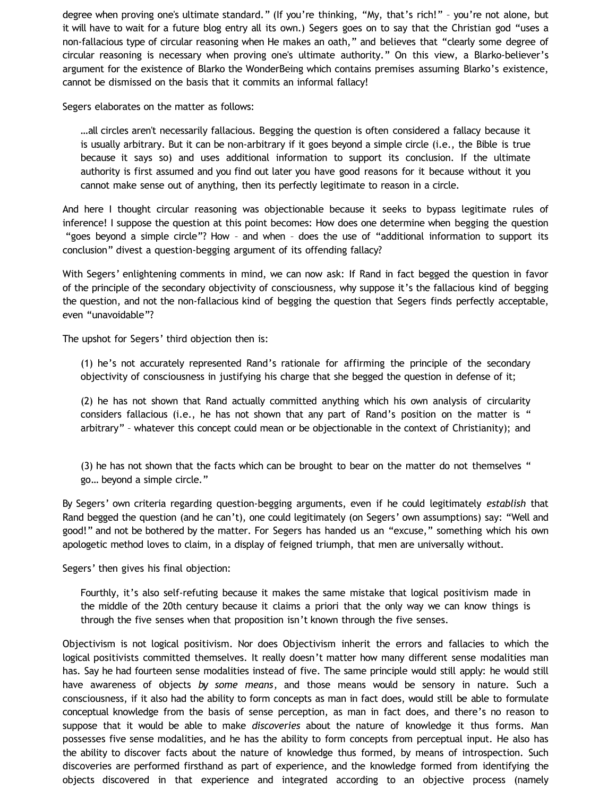degree when proving one's ultimate standard." (If you're thinking, "My, that's rich!" – you're not alone, but it will have to wait for a future blog entry all its own.) Segers goes on to say that the Christian god "uses a non-fallacious type of circular reasoning when He makes an oath," and believes that "clearly some degree of circular reasoning is necessary when proving one's ultimate authority." On this view, a Blarko-believer's argument for the existence of Blarko the WonderBeing which contains premises assuming Blarko's existence, cannot be dismissed on the basis that it commits an informal fallacy!

Segers elaborates on the matter as follows:

…all circles aren't necessarily fallacious. Begging the question is often considered a fallacy because it is usually arbitrary. But it can be non-arbitrary if it goes beyond a simple circle (i.e., the Bible is true because it says so) and uses additional information to support its conclusion. If the ultimate authority is first assumed and you find out later you have good reasons for it because without it you cannot make sense out of anything, then its perfectly legitimate to reason in a circle.

And here I thought circular reasoning was objectionable because it seeks to bypass legitimate rules of inference! I suppose the question at this point becomes: How does one determine when begging the question "goes beyond a simple circle"? How – and when – does the use of "additional information to support its conclusion" divest a question-begging argument of its offending fallacy?

With Segers' enlightening comments in mind, we can now ask: If Rand in fact begged the question in favor of the principle of the secondary objectivity of consciousness, why suppose it's the fallacious kind of begging the question, and not the non-fallacious kind of begging the question that Segers finds perfectly acceptable, even "unavoidable"?

The upshot for Segers' third objection then is:

(1) he's not accurately represented Rand's rationale for affirming the principle of the secondary objectivity of consciousness in justifying his charge that she begged the question in defense of it;

(2) he has not shown that Rand actually committed anything which his own analysis of circularity considers fallacious (i.e., he has not shown that any part of Rand's position on the matter is " arbitrary" – whatever this concept could mean or be objectionable in the context of Christianity); and

(3) he has not shown that the facts which can be brought to bear on the matter do not themselves " go… beyond a simple circle."

By Segers' own criteria regarding question-begging arguments, even if he could legitimately *establish* that Rand begged the question (and he can't), one could legitimately (on Segers' own assumptions) say: "Well and good!" and not be bothered by the matter. For Segers has handed us an "excuse," something which his own apologetic method loves to claim, in a display of feigned triumph, that men are universally without.

Segers' then gives his final objection:

Fourthly, it's also self-refuting because it makes the same mistake that logical positivism made in the middle of the 20th century because it claims a priori that the only way we can know things is through the five senses when that proposition isn't known through the five senses.

Objectivism is not logical positivism. Nor does Objectivism inherit the errors and fallacies to which the logical positivists committed themselves. It really doesn't matter how many different sense modalities man has. Say he had fourteen sense modalities instead of five. The same principle would still apply: he would still have awareness of objects *by some means*, and those means would be sensory in nature. Such a consciousness, if it also had the ability to form concepts as man in fact does, would still be able to formulate conceptual knowledge from the basis of sense perception, as man in fact does, and there's no reason to suppose that it would be able to make *discoveries* about the nature of knowledge it thus forms. Man possesses five sense modalities, and he has the ability to form concepts from perceptual input. He also has the ability to discover facts about the nature of knowledge thus formed, by means of introspection. Such discoveries are performed firsthand as part of experience, and the knowledge formed from identifying the objects discovered in that experience and integrated according to an objective process (namely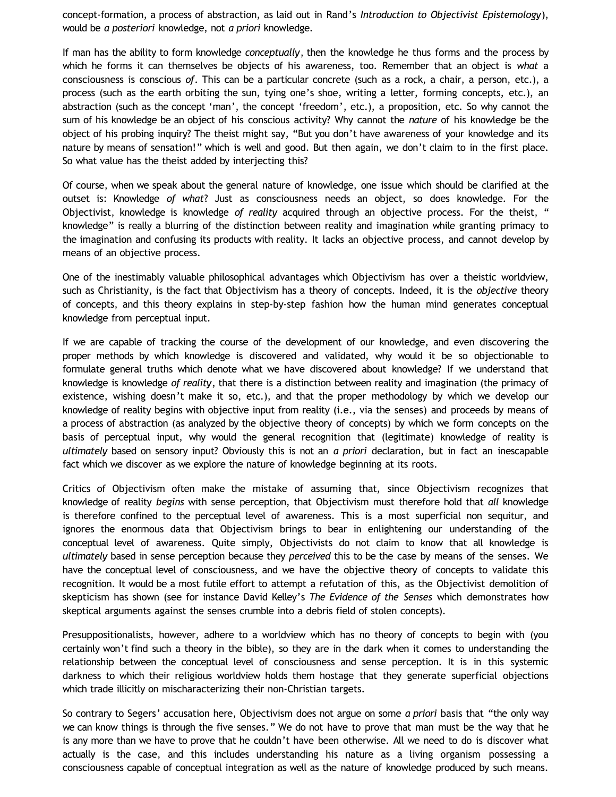concept-formation, a process of abstraction, as laid out in Rand's *Introduction to Objectivist Epistemology*), would be *a posteriori* knowledge, not *a priori* knowledge.

If man has the ability to form knowledge *conceptually*, then the knowledge he thus forms and the process by which he forms it can themselves be objects of his awareness, too. Remember that an object is *what* a consciousness is conscious *of*. This can be a particular concrete (such as a rock, a chair, a person, etc.), a process (such as the earth orbiting the sun, tying one's shoe, writing a letter, forming concepts, etc.), an abstraction (such as the concept 'man', the concept 'freedom', etc.), a proposition, etc. So why cannot the sum of his knowledge be an object of his conscious activity? Why cannot the *nature* of his knowledge be the object of his probing inquiry? The theist might say, "But you don't have awareness of your knowledge and its nature by means of sensation!" which is well and good. But then again, we don't claim to in the first place. So what value has the theist added by interjecting this?

Of course, when we speak about the general nature of knowledge, one issue which should be clarified at the outset is: Knowledge *of what*? Just as consciousness needs an object, so does knowledge. For the Objectivist, knowledge is knowledge *of reality* acquired through an objective process. For the theist, " knowledge" is really a blurring of the distinction between reality and imagination while granting primacy to the imagination and confusing its products with reality. It lacks an objective process, and cannot develop by means of an objective process.

One of the inestimably valuable philosophical advantages which Objectivism has over a theistic worldview, such as Christianity, is the fact that Objectivism has a theory of concepts. Indeed, it is the *objective* theory of concepts, and this theory explains in step-by-step fashion how the human mind generates conceptual knowledge from perceptual input.

If we are capable of tracking the course of the development of our knowledge, and even discovering the proper methods by which knowledge is discovered and validated, why would it be so objectionable to formulate general truths which denote what we have discovered about knowledge? If we understand that knowledge is knowledge *of reality*, that there is a distinction between reality and imagination (the primacy of existence, wishing doesn't make it so, etc.), and that the proper methodology by which we develop our knowledge of reality begins with objective input from reality (i.e., via the senses) and proceeds by means of a process of abstraction (as analyzed by the objective theory of concepts) by which we form concepts on the basis of perceptual input, why would the general recognition that (legitimate) knowledge of reality is *ultimately* based on sensory input? Obviously this is not an *a priori* declaration, but in fact an inescapable fact which we discover as we explore the nature of knowledge beginning at its roots.

Critics of Objectivism often make the mistake of assuming that, since Objectivism recognizes that knowledge of reality *begins* with sense perception, that Objectivism must therefore hold that *all* knowledge is therefore confined to the perceptual level of awareness. This is a most superficial non sequitur, and ignores the enormous data that Objectivism brings to bear in enlightening our understanding of the conceptual level of awareness. Quite simply, Objectivists do not claim to know that all knowledge is *ultimately* based in sense perception because they *perceived* this to be the case by means of the senses. We have the conceptual level of consciousness, and we have the objective theory of concepts to validate this recognition. It would be a most futile effort to attempt a refutation of this, as the Objectivist demolition of skepticism has shown (see for instance David Kelley's *The Evidence of the Senses* which demonstrates how skeptical arguments against the senses crumble into a debris field of stolen concepts).

Presuppositionalists, however, adhere to a worldview which has no theory of concepts to begin with (you certainly won't find such a theory in the bible), so they are in the dark when it comes to understanding the relationship between the conceptual level of consciousness and sense perception. It is in this systemic darkness to which their religious worldview holds them hostage that they generate superficial objections which trade illicitly on mischaracterizing their non-Christian targets.

So contrary to Segers' accusation here, Objectivism does not argue on some *a priori* basis that "the only way we can know things is through the five senses." We do not have to prove that man must be the way that he is any more than we have to prove that he couldn't have been otherwise. All we need to do is discover what actually is the case, and this includes understanding his nature as a living organism possessing a consciousness capable of conceptual integration as well as the nature of knowledge produced by such means.